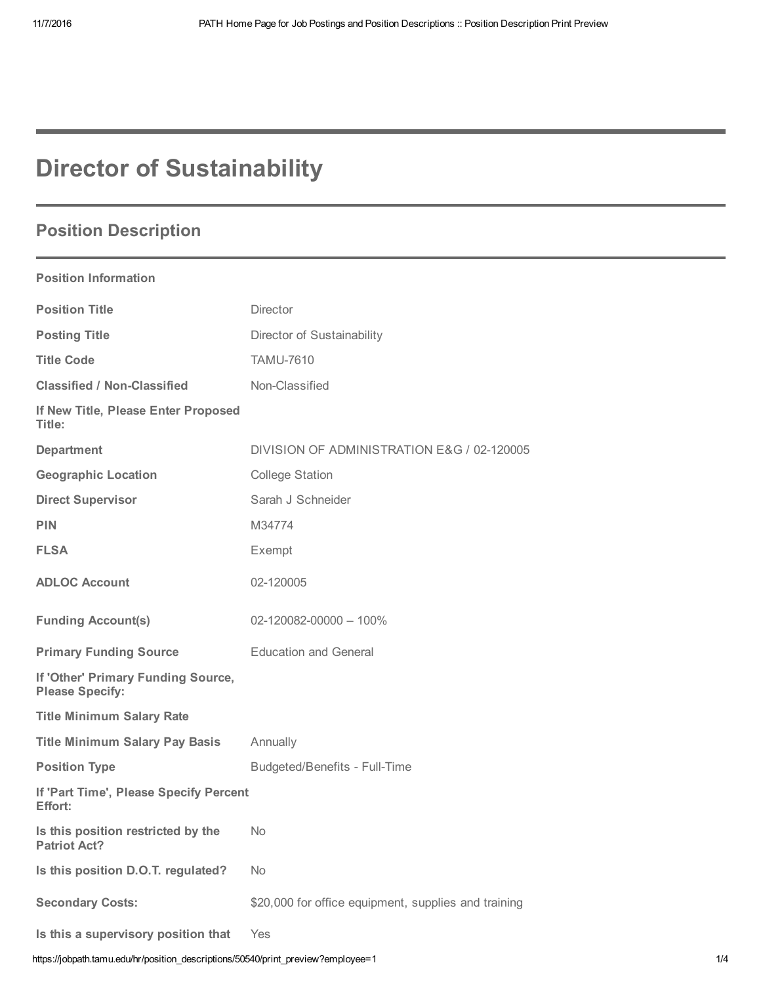# Director of Sustainability

## Position Description

### Position Information

| <b>Position Title</b>                                        | <b>Director</b>                                      |
|--------------------------------------------------------------|------------------------------------------------------|
| <b>Posting Title</b>                                         | Director of Sustainability                           |
| <b>Title Code</b>                                            | <b>TAMU-7610</b>                                     |
| <b>Classified / Non-Classified</b>                           | Non-Classified                                       |
| If New Title, Please Enter Proposed<br>Title:                |                                                      |
| <b>Department</b>                                            | DIVISION OF ADMINISTRATION E&G / 02-120005           |
| <b>Geographic Location</b>                                   | <b>College Station</b>                               |
| <b>Direct Supervisor</b>                                     | Sarah J Schneider                                    |
| <b>PIN</b>                                                   | M34774                                               |
| <b>FLSA</b>                                                  | Exempt                                               |
| <b>ADLOC Account</b>                                         | 02-120005                                            |
| <b>Funding Account(s)</b>                                    | $02 - 120082 - 00000 - 100\%$                        |
| <b>Primary Funding Source</b>                                | <b>Education and General</b>                         |
| If 'Other' Primary Funding Source,<br><b>Please Specify:</b> |                                                      |
| <b>Title Minimum Salary Rate</b>                             |                                                      |
| <b>Title Minimum Salary Pay Basis</b>                        | Annually                                             |
| <b>Position Type</b>                                         | <b>Budgeted/Benefits - Full-Time</b>                 |
| If 'Part Time', Please Specify Percent<br>Effort:            |                                                      |
| Is this position restricted by the<br><b>Patriot Act?</b>    | <b>No</b>                                            |
| Is this position D.O.T. regulated?                           | <b>No</b>                                            |
| <b>Secondary Costs:</b>                                      | \$20,000 for office equipment, supplies and training |
| Is this a supervisory position that                          | Yes                                                  |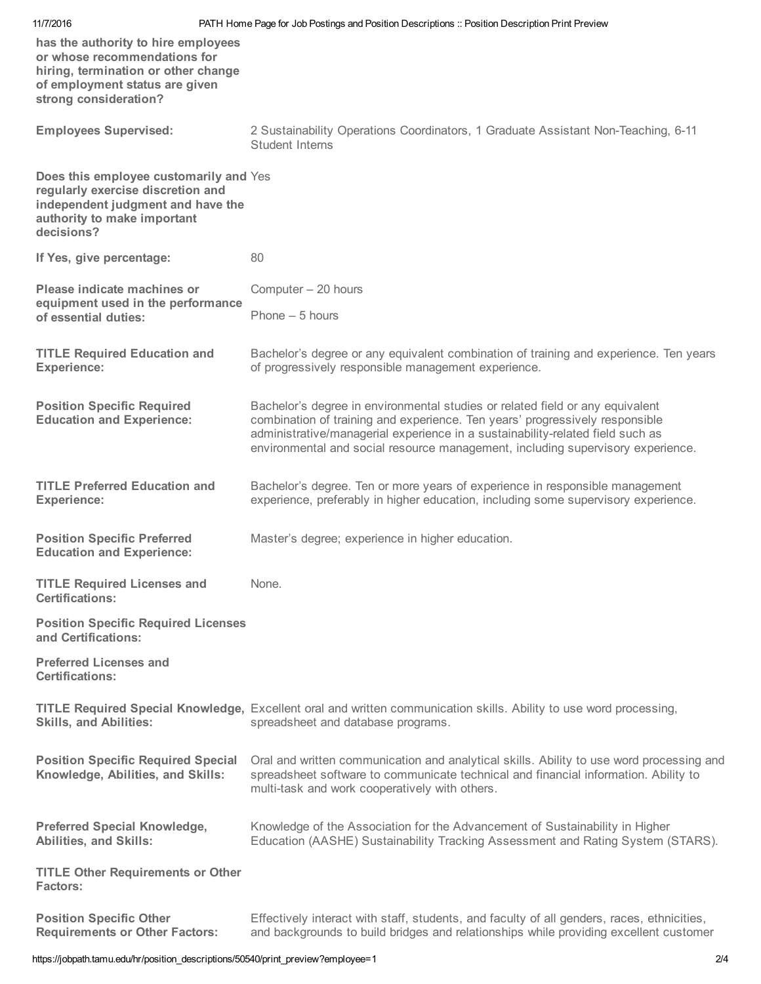| 11/7/2016                                                                                                                                                             | PATH Home Page for Job Postings and Position Descriptions :: Position Description Print Preview                                                                                                                                                                                                                                    |
|-----------------------------------------------------------------------------------------------------------------------------------------------------------------------|------------------------------------------------------------------------------------------------------------------------------------------------------------------------------------------------------------------------------------------------------------------------------------------------------------------------------------|
| has the authority to hire employees<br>or whose recommendations for<br>hiring, termination or other change<br>of employment status are given<br>strong consideration? |                                                                                                                                                                                                                                                                                                                                    |
| <b>Employees Supervised:</b>                                                                                                                                          | 2 Sustainability Operations Coordinators, 1 Graduate Assistant Non-Teaching, 6-11<br><b>Student Interns</b>                                                                                                                                                                                                                        |
| Does this employee customarily and Yes<br>regularly exercise discretion and<br>independent judgment and have the<br>authority to make important<br>decisions?         |                                                                                                                                                                                                                                                                                                                                    |
| If Yes, give percentage:                                                                                                                                              | 80                                                                                                                                                                                                                                                                                                                                 |
| Please indicate machines or<br>equipment used in the performance<br>of essential duties:                                                                              | Computer - 20 hours<br>Phone $-5$ hours                                                                                                                                                                                                                                                                                            |
| <b>TITLE Required Education and</b><br><b>Experience:</b>                                                                                                             | Bachelor's degree or any equivalent combination of training and experience. Ten years<br>of progressively responsible management experience.                                                                                                                                                                                       |
| <b>Position Specific Required</b><br><b>Education and Experience:</b>                                                                                                 | Bachelor's degree in environmental studies or related field or any equivalent<br>combination of training and experience. Ten years' progressively responsible<br>administrative/managerial experience in a sustainability-related field such as<br>environmental and social resource management, including supervisory experience. |
| <b>TITLE Preferred Education and</b><br><b>Experience:</b>                                                                                                            | Bachelor's degree. Ten or more years of experience in responsible management<br>experience, preferably in higher education, including some supervisory experience.                                                                                                                                                                 |
| <b>Position Specific Preferred</b><br><b>Education and Experience:</b>                                                                                                | Master's degree; experience in higher education.                                                                                                                                                                                                                                                                                   |
| <b>TITLE Required Licenses and</b><br><b>Certifications:</b>                                                                                                          | None.                                                                                                                                                                                                                                                                                                                              |
| <b>Position Specific Required Licenses</b><br>and Certifications:                                                                                                     |                                                                                                                                                                                                                                                                                                                                    |
| <b>Preferred Licenses and</b><br><b>Certifications:</b>                                                                                                               |                                                                                                                                                                                                                                                                                                                                    |
| <b>Skills, and Abilities:</b>                                                                                                                                         | TITLE Required Special Knowledge, Excellent oral and written communication skills. Ability to use word processing,<br>spreadsheet and database programs.                                                                                                                                                                           |
| <b>Position Specific Required Special</b><br>Knowledge, Abilities, and Skills:                                                                                        | Oral and written communication and analytical skills. Ability to use word processing and<br>spreadsheet software to communicate technical and financial information. Ability to<br>multi-task and work cooperatively with others.                                                                                                  |
| <b>Preferred Special Knowledge,</b><br><b>Abilities, and Skills:</b>                                                                                                  | Knowledge of the Association for the Advancement of Sustainability in Higher<br>Education (AASHE) Sustainability Tracking Assessment and Rating System (STARS).                                                                                                                                                                    |
| <b>TITLE Other Requirements or Other</b><br><b>Factors:</b>                                                                                                           |                                                                                                                                                                                                                                                                                                                                    |
| <b>Position Specific Other</b><br><b>Requirements or Other Factors:</b>                                                                                               | Effectively interact with staff, students, and faculty of all genders, races, ethnicities,<br>and backgrounds to build bridges and relationships while providing excellent customer                                                                                                                                                |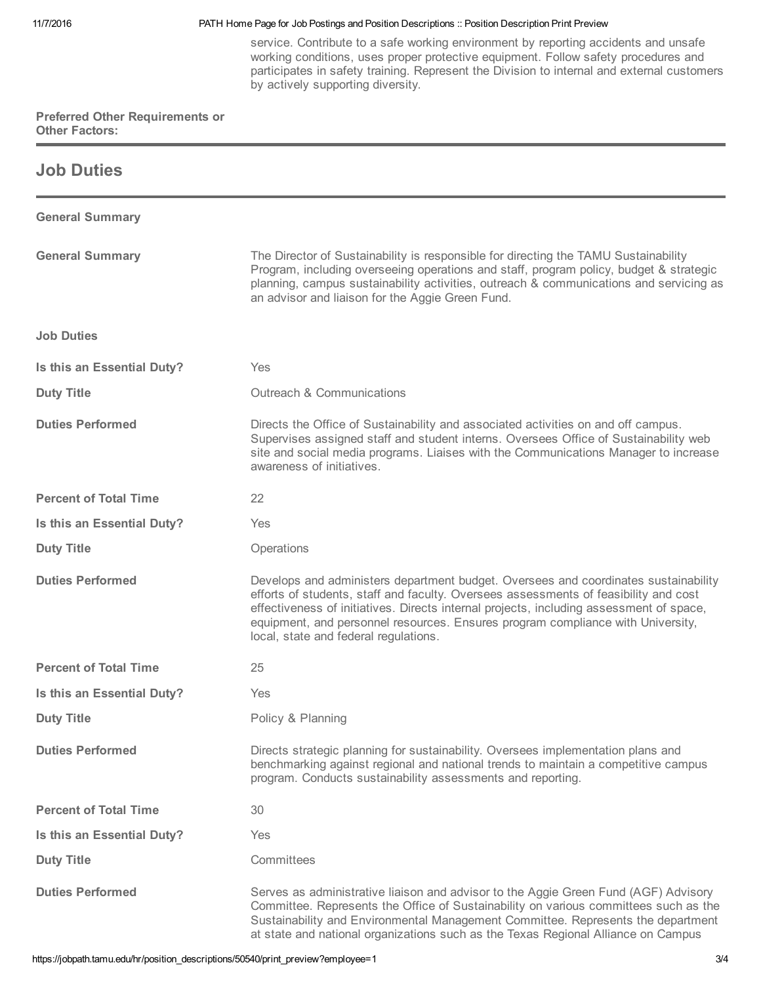#### 11/7/2016 PATH Home Page for Job Postings and Position Descriptions :: Position Description Print Preview

service. Contribute to a safe working environment by reporting accidents and unsafe working conditions, uses proper protective equipment. Follow safety procedures and participates in safety training. Represent the Division to internal and external customers by actively supporting diversity.

#### Preferred Other Requirements or Other Factors:

### Job Duties

| <b>General Summary</b>       |                                                                                                                                                                                                                                                                                                                                                                                                    |
|------------------------------|----------------------------------------------------------------------------------------------------------------------------------------------------------------------------------------------------------------------------------------------------------------------------------------------------------------------------------------------------------------------------------------------------|
| <b>General Summary</b>       | The Director of Sustainability is responsible for directing the TAMU Sustainability<br>Program, including overseeing operations and staff, program policy, budget & strategic<br>planning, campus sustainability activities, outreach & communications and servicing as<br>an advisor and liaison for the Aggie Green Fund.                                                                        |
| <b>Job Duties</b>            |                                                                                                                                                                                                                                                                                                                                                                                                    |
| Is this an Essential Duty?   | Yes                                                                                                                                                                                                                                                                                                                                                                                                |
| <b>Duty Title</b>            | <b>Outreach &amp; Communications</b>                                                                                                                                                                                                                                                                                                                                                               |
| <b>Duties Performed</b>      | Directs the Office of Sustainability and associated activities on and off campus.<br>Supervises assigned staff and student interns. Oversees Office of Sustainability web<br>site and social media programs. Liaises with the Communications Manager to increase<br>awareness of initiatives.                                                                                                      |
| <b>Percent of Total Time</b> | 22                                                                                                                                                                                                                                                                                                                                                                                                 |
| Is this an Essential Duty?   | Yes                                                                                                                                                                                                                                                                                                                                                                                                |
| <b>Duty Title</b>            | Operations                                                                                                                                                                                                                                                                                                                                                                                         |
| <b>Duties Performed</b>      | Develops and administers department budget. Oversees and coordinates sustainability<br>efforts of students, staff and faculty. Oversees assessments of feasibility and cost<br>effectiveness of initiatives. Directs internal projects, including assessment of space,<br>equipment, and personnel resources. Ensures program compliance with University,<br>local, state and federal regulations. |
| <b>Percent of Total Time</b> | 25                                                                                                                                                                                                                                                                                                                                                                                                 |
| Is this an Essential Duty?   | Yes                                                                                                                                                                                                                                                                                                                                                                                                |
| <b>Duty Title</b>            | Policy & Planning                                                                                                                                                                                                                                                                                                                                                                                  |
| <b>Duties Performed</b>      | Directs strategic planning for sustainability. Oversees implementation plans and<br>benchmarking against regional and national trends to maintain a competitive campus<br>program. Conducts sustainability assessments and reporting.                                                                                                                                                              |
| <b>Percent of Total Time</b> | 30                                                                                                                                                                                                                                                                                                                                                                                                 |
| Is this an Essential Duty?   | Yes                                                                                                                                                                                                                                                                                                                                                                                                |
| <b>Duty Title</b>            | Committees                                                                                                                                                                                                                                                                                                                                                                                         |
| <b>Duties Performed</b>      | Serves as administrative liaison and advisor to the Aggie Green Fund (AGF) Advisory<br>Committee. Represents the Office of Sustainability on various committees such as the<br>Sustainability and Environmental Management Committee. Represents the department<br>at state and national organizations such as the Texas Regional Alliance on Campus                                               |